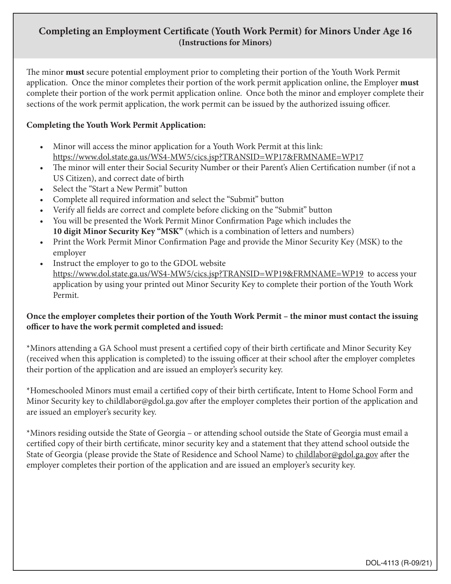## **Completing an Employment Certificate (Youth Work Permit) for Minors Under Age 16 (Instructions for Minors)**

The minor **must** secure potential employment prior to completing their portion of the Youth Work Permit application. Once the minor completes their portion of the work permit application online, the Employer **must** complete their portion of the work permit application online. Once both the minor and employer complete their sections of the work permit application, the work permit can be issued by the authorized issuing officer.

## **Completing the Youth Work Permit Application:**

- Minor will access the minor application for a Youth Work Permit at this link: https://www.dol.state.ga.us/WS4-MW5/cics.jsp?TRANSID=WP17&FRMNAME=WP17
- The minor will enter their Social Security Number or their Parent's Alien Certification number (if not a US Citizen), and correct date of birth
- Select the "Start a New Permit" button
- Complete all required information and select the "Submit" button
- Verify all fields are correct and complete before clicking on the "Submit" button
- You will be presented the Work Permit Minor Confirmation Page which includes the **10 digit Minor Security Key "MSK"** (which is a combination of letters and numbers)
- Print the Work Permit Minor Confirmation Page and provide the Minor Security Key (MSK) to the employer
- Instruct the employer to go to the GDOL website https://www.dol.state.ga.us/WS4-MW5/cics.jsp?TRANSID=WP19&FRMNAME=WP19 to access your application by using your printed out Minor Security Key to complete their portion of the Youth Work Permit.

## **Once the employer completes their portion of the Youth Work Permit – the minor must contact the issuing officer to have the work permit completed and issued:**

\*Minors attending a GA School must present a certified copy of their birth certificate and Minor Security Key (received when this application is completed) to the issuing officer at their school after the employer completes their portion of the application and are issued an employer's security key.

\*Homeschooled Minors must email a certified copy of their birth certificate, Intent to Home School Form and Minor Security key to childlabor@gdol.ga.gov after the employer completes their portion of the application and are issued an employer's security key.

\*Minors residing outside the State of Georgia – or attending school outside the State of Georgia must email a certified copy of their birth certificate, minor security key and a statement that they attend school outside the State of Georgia (please provide the State of Residence and School Name) to childlabor@gdol.ga.gov after the employer completes their portion of the application and are issued an employer's security key.